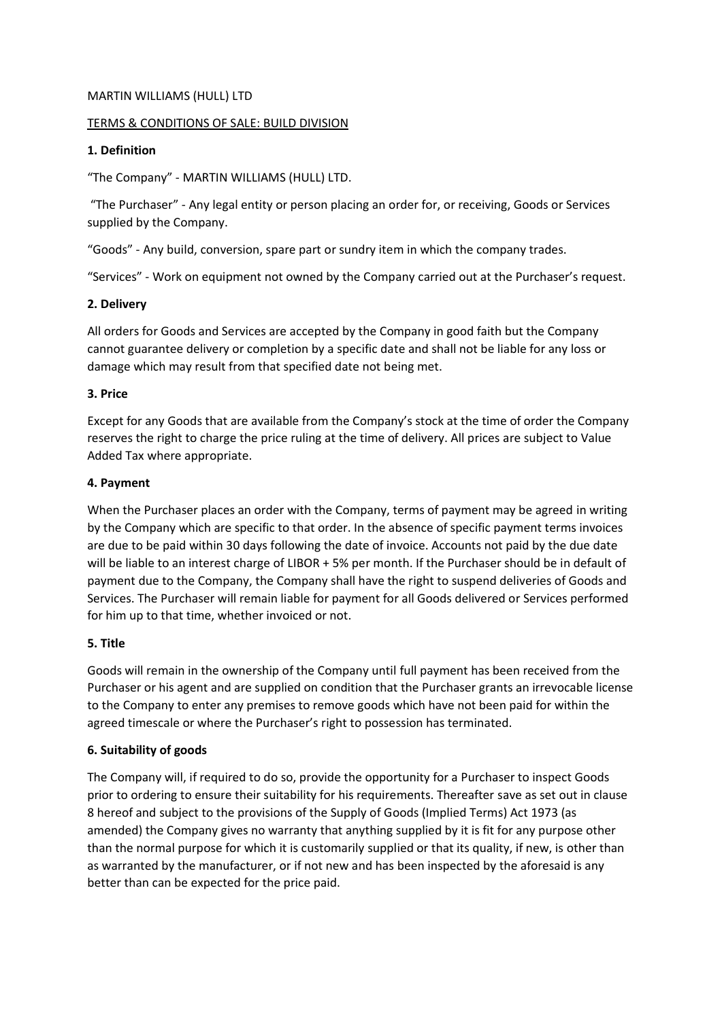#### MARTIN WILLIAMS (HULL) LTD

#### TERMS & CONDITIONS OF SALE: BUILD DIVISION

#### **1. Definition**

"The Company" - MARTIN WILLIAMS (HULL) LTD.

"The Purchaser" - Any legal entity or person placing an order for, or receiving, Goods or Services supplied by the Company.

"Goods" - Any build, conversion, spare part or sundry item in which the company trades.

"Services" - Work on equipment not owned by the Company carried out at the Purchaser's request.

### **2. Delivery**

All orders for Goods and Services are accepted by the Company in good faith but the Company cannot guarantee delivery or completion by a specific date and shall not be liable for any loss or damage which may result from that specified date not being met.

### **3. Price**

Except for any Goods that are available from the Company's stock at the time of order the Company reserves the right to charge the price ruling at the time of delivery. All prices are subject to Value Added Tax where appropriate.

### **4. Payment**

When the Purchaser places an order with the Company, terms of payment may be agreed in writing by the Company which are specific to that order. In the absence of specific payment terms invoices are due to be paid within 30 days following the date of invoice. Accounts not paid by the due date will be liable to an interest charge of LIBOR + 5% per month. If the Purchaser should be in default of payment due to the Company, the Company shall have the right to suspend deliveries of Goods and Services. The Purchaser will remain liable for payment for all Goods delivered or Services performed for him up to that time, whether invoiced or not.

## **5. Title**

Goods will remain in the ownership of the Company until full payment has been received from the Purchaser or his agent and are supplied on condition that the Purchaser grants an irrevocable license to the Company to enter any premises to remove goods which have not been paid for within the agreed timescale or where the Purchaser's right to possession has terminated.

## **6. Suitability of goods**

The Company will, if required to do so, provide the opportunity for a Purchaser to inspect Goods prior to ordering to ensure their suitability for his requirements. Thereafter save as set out in clause 8 hereof and subject to the provisions of the Supply of Goods (Implied Terms) Act 1973 (as amended) the Company gives no warranty that anything supplied by it is fit for any purpose other than the normal purpose for which it is customarily supplied or that its quality, if new, is other than as warranted by the manufacturer, or if not new and has been inspected by the aforesaid is any better than can be expected for the price paid.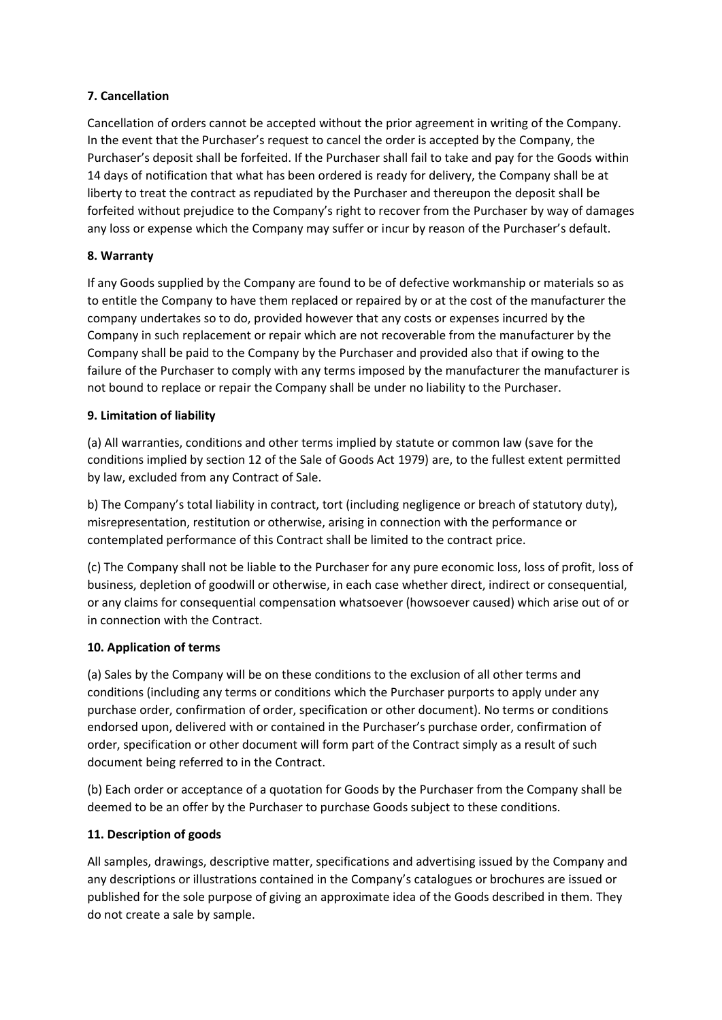## **7. Cancellation**

Cancellation of orders cannot be accepted without the prior agreement in writing of the Company. In the event that the Purchaser's request to cancel the order is accepted by the Company, the Purchaser's deposit shall be forfeited. If the Purchaser shall fail to take and pay for the Goods within 14 days of notification that what has been ordered is ready for delivery, the Company shall be at liberty to treat the contract as repudiated by the Purchaser and thereupon the deposit shall be forfeited without prejudice to the Company's right to recover from the Purchaser by way of damages any loss or expense which the Company may suffer or incur by reason of the Purchaser's default.

# **8. Warranty**

If any Goods supplied by the Company are found to be of defective workmanship or materials so as to entitle the Company to have them replaced or repaired by or at the cost of the manufacturer the company undertakes so to do, provided however that any costs or expenses incurred by the Company in such replacement or repair which are not recoverable from the manufacturer by the Company shall be paid to the Company by the Purchaser and provided also that if owing to the failure of the Purchaser to comply with any terms imposed by the manufacturer the manufacturer is not bound to replace or repair the Company shall be under no liability to the Purchaser.

# **9. Limitation of liability**

(a) All warranties, conditions and other terms implied by statute or common law (save for the conditions implied by section 12 of the Sale of Goods Act 1979) are, to the fullest extent permitted by law, excluded from any Contract of Sale.

b) The Company's total liability in contract, tort (including negligence or breach of statutory duty), misrepresentation, restitution or otherwise, arising in connection with the performance or contemplated performance of this Contract shall be limited to the contract price.

(c) The Company shall not be liable to the Purchaser for any pure economic loss, loss of profit, loss of business, depletion of goodwill or otherwise, in each case whether direct, indirect or consequential, or any claims for consequential compensation whatsoever (howsoever caused) which arise out of or in connection with the Contract.

## **10. Application of terms**

(a) Sales by the Company will be on these conditions to the exclusion of all other terms and conditions (including any terms or conditions which the Purchaser purports to apply under any purchase order, confirmation of order, specification or other document). No terms or conditions endorsed upon, delivered with or contained in the Purchaser's purchase order, confirmation of order, specification or other document will form part of the Contract simply as a result of such document being referred to in the Contract.

(b) Each order or acceptance of a quotation for Goods by the Purchaser from the Company shall be deemed to be an offer by the Purchaser to purchase Goods subject to these conditions.

# **11. Description of goods**

All samples, drawings, descriptive matter, specifications and advertising issued by the Company and any descriptions or illustrations contained in the Company's catalogues or brochures are issued or published for the sole purpose of giving an approximate idea of the Goods described in them. They do not create a sale by sample.